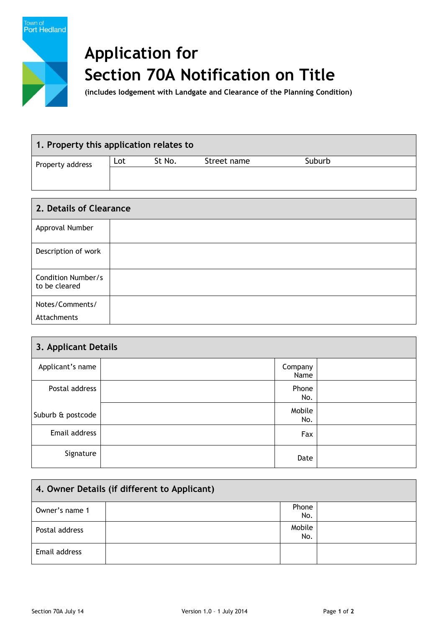

## **Application for Section 70A Notification on Title**

**(includes lodgement with Landgate and Clearance of the Planning Condition)**

| 1. Property this application relates to |     |        |             |        |  |  |
|-----------------------------------------|-----|--------|-------------|--------|--|--|
| Property address                        | Lot | St No. | Street name | Suburb |  |  |
|                                         |     |        |             |        |  |  |
|                                         |     |        |             |        |  |  |

| 2. Details of Clearance             |  |  |
|-------------------------------------|--|--|
| Approval Number                     |  |  |
| Description of work                 |  |  |
| Condition Number/s<br>to be cleared |  |  |
| Notes/Comments/                     |  |  |
| Attachments                         |  |  |

| 3. Applicant Details |  |                 |  |  |
|----------------------|--|-----------------|--|--|
| Applicant's name     |  | Company<br>Name |  |  |
| Postal address       |  | Phone<br>No.    |  |  |
| Suburb & postcode    |  | Mobile<br>No.   |  |  |
| Email address        |  | Fax             |  |  |
| Signature            |  | Date            |  |  |

| 4. Owner Details (if different to Applicant) |  |               |  |  |
|----------------------------------------------|--|---------------|--|--|
| Owner's name 1                               |  | Phone<br>No.  |  |  |
| Postal address                               |  | Mobile<br>No. |  |  |
| Email address                                |  |               |  |  |